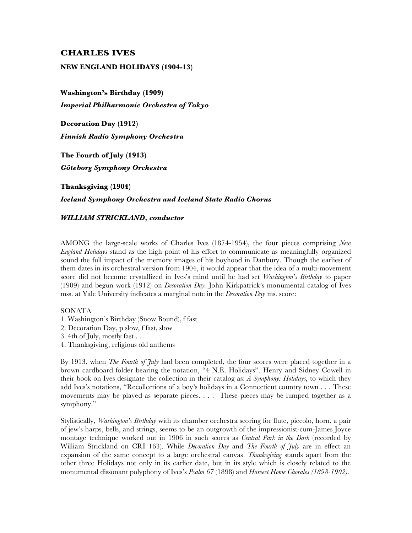# **CHARLES IVES**

#### **NEW ENGLAND HOLIDAYS (1904-13)**

**Washington's Birthday (1909)** *Imperial Philharmonic Orchestra of Tokyo*

**Decoration Day (1912)** *Finnish Radio Symphony Orchestra*

**The Fourth of July (1913)** *Göteborg Symphony Orchestra*

**Thanksgiving (1904)**

## *Iceland Symphony Orchestra and Iceland State Radio Chorus*

#### *WILLIAM STRICKLAND, conductor*

AMONG the large-scale works of Charles Ives (1874-1954), the four pieces comprising *New England Holidays* stand as the high point of his effort to communicate as meaningfully organized sound the full impact of the memory images of his boyhood in Danbury. Though the earliest of them dates in its orchestral version from 1904, it would appear that the idea of a multi-movement score did not become crystallized in Ives's mind until he had set *Washington's Birthday* to paper (1909) and begun work (1912) on *Decoration Day.* John Kirkpatrick's monumental catalog of Ives mss. at Yale University indicates a marginal note in the *Decoration Day* ms. score:

### **SONATA**

- 1. Washington's Birthday (Snow Bound), f fast
- 2. Decoration Day, p slow, f fast, slow
- 3. 4th of July, mostly fast . . .
- 4. Thanksgiving, religious old anthems

By 1913, when *The Fourth of July* had been completed, the four scores were placed together in a brown cardboard folder bearing the notation, "4 N.E. Holidays". Henry and Sidney Cowell in their book on Ives designate the collection in their catalog as: *A Symphony: Holidays,* to which they add Ives's notations, "Recollections of a boy's holidays in a Connecticut country town . . . These movements may be played as separate pieces. . . . These pieces may be lumped together as a symphony."

Stylistically, *Washington's Birthday* with its chamber orchestra scoring for flute, piccolo, horn, a pair of jew's harps, bells, and strings, seems to be an outgrowth of the impressionist-cum-James Joyce montage technique worked out in 1906 in such scores as *Central Park in the Dark* (recorded by William Strickland on CRI 163). While *Decoration Day* and *The Fourth of July* are in effect an expansion of the same concept to a large orchestral canvas. *Thanksgiving* stands apart from the other three Holidays not only in its earlier date, but in its style which is closely related to the monumental dissonant polyphony of Ives's *Psalm 67* (1898) and *Harvest Home Chorales (1898-1902).*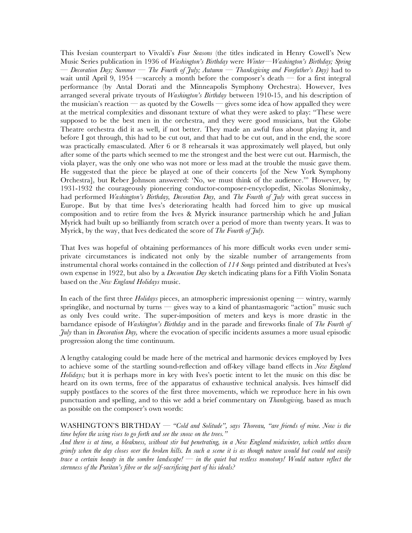This Ivesian counterpart to Vivaldi's *Four Seasons* (the titles indicated in Henry Cowell's New Music Series publication in 1936 of *Washington's Birthday* were *Winter—Washington's Birthday; Spring* — *Decoration Day; Summer — The Fourth of July; Autumn — Thanksgiving and Forefather's Day)* had to wait until April 9, 1954 —scarcely a month before the composer's death — for a first integral performance (by Antal Dorati and the Minneapolis Symphony Orchestra). However, Ives arranged several private tryouts of *Washington's Birthday* between 1910-15, and his description of the musician's reaction — as quoted by the Cowells — gives some idea of how appalled they were at the metrical complexities and dissonant texture of what they were asked to play: "These were supposed to be the best men in the orchestra, and they were good musicians, but the Globe Theatre orchestra did it as well, if not better. They made an awful fuss about playing it, and before I got through, this had to be cut out, and that had to be cut out, and in the end, the score was practically emasculated. After 6 or 8 rehearsals it was approximately well played, but only after some of the parts which seemed to me the strongest and the best were cut out. Harmisch, the viola player, was the only one who was not more or less mad at the trouble the music gave them. He suggested that the piece be played at one of their concerts [of the New York Symphony Orchestra], but Reber Johnson answered: 'No, we must think of the audience.'" However, by 1931-1932 the courageously pioneering conductor-composer-encyclopedist, Nicolas Slonimsky, had performed *Washington's Birthday, Decoration Day,* and *The Fourth of July* with great success in Europe. But by that time Ives's deteriorating health had forced him to give up musical composition and to retire from the Ives & Myrick insurance partnership which he and Julian Myrick had built up so brilliantly from scratch over a period of more than twenty years. It was to Myrick, by the way, that Ives dedicated the score of *The Fourth of July.*

That Ives was hopeful of obtaining performances of his more difficult works even under semiprivate circumstances is indicated not only by the sizable number of arrangements from instrumental choral works contained in the collection of *114 Songs* printed and distributed at Ives's own expense in 1922, but also by a *Decoration Day* sketch indicating plans for a Fifth Violin Sonata based on the *New England Holidays* music.

In each of the first three *Holidays* pieces, an atmospheric impressionist opening — wintry, warmly springlike, and nocturnal by turns — gives way to a kind of phantasmagoric "action" music such as only Ives could write. The super-imposition of meters and keys is more drastic in the barndance episode of *Washington's Birthday* and in the parade and fireworks finale of *The Fourth of July* than in *Decoration Day,* where the evocation of specific incidents assumes a more usual episodic progression along the time continuum.

A lengthy cataloging could be made here of the metrical and harmonic devices employed by Ives to achieve some of the startling sound-reflection and off-key village band effects in *New England Holidays;* but it is perhaps more in key with Ives's poetic intent to let the music on this disc be heard on its own terms, free of the apparatus of exhaustive technical analysis. Ives himself did supply postfaces to the scores of the first three movements, which we reproduce here in his own punctuation and spelling, and to this we add a brief commentary on *Thanksgiving,* based as much as possible on the composer's own words:

WASHINGTON'S BIRTHDAY — *"Cold and Solitude", says Thoreau, "are friends of mine. Now is the time before the wing rises to go forth and see the snow on the trees."*

*And there is at time, a bleakness, without stir but penetrating, in a New England midwinter, which settles down grimly when the day closes over the broken hills. In such a scene it is as though nature would but could not easily trace a certain beauty in the sombre landscape! — in the quiet but restless monotony! Would nature reflect the sternness of the Puritan's fibre or the self-sacrificing part of his ideals?*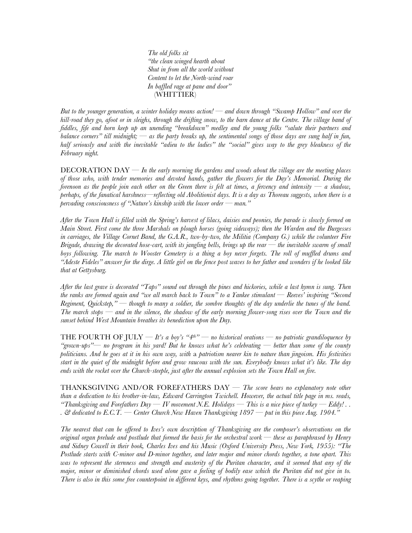*The old folks sit "the clean winged hearth about Shut in from all the world without Content to let the North-wind roar In baffled rage at pane and door"* (WHITTIER)

*But to the younger generation, a winter holiday means action! — and down through "Swamp Hollow" and over the hill-road they go, afoot or in sleighs, through the drifting snow, to the barn dance at the Centre. The village band of fiddles, fife and horn keep up an unending "breakdown" medley and the young folks "salute their partners and balance corners" till midnight; — as the party breaks up, the sentimental songs of those days are sung half in fun, half seriously and with the inevitable "adieu to the ladies" the "social" gives way to the grey bleakness of the February night.*

DECORATION DAY — *In the early morning the gardens and woods about the village are the meeting places of those who, with tender memories and devoted hands, gather the flowers for the Day's Memorial. During the forenoon as the people join each other on the Green there is felt at times, a fervency and intensity — a shadow, perhaps, of the fanatical harshness—reflecting old Abolitionist days. It is a day as Thoreau suggests, when there is a pervading consciousness of "Nature's kinship with the lower order — man."*

*After the Town Hall is filled with the Spring's harvest of lilacs, daisies and peonies, the parade is slowly formed on Main Street. First come the three Marshals on plough horses (going sideways); then the Warden and the Burgesses in carriages, the Village Cornet Band, the G.A.R., two-by-two, the Militia (Company G.) while the volunteer Fire Brigade, drawing the decorated hose-cart, with its jangling bells, brings up the rear — the inevitable swarm of small boys following. The march to Wooster Cemetery is a thing a boy never forgets. The roll of muffled drums and "Adeste Fideles" answer for the dirge. A little girl on the fence post waves to her father and wonders if he looked like that at Gettysburg.*

*After the last grave is decorated "Taps" sound out through the pines and hickories, while a last hymn is sung. Then the ranks are formed again and "we all march back to Town" to a Yankee stimulant — Reeves' inspiring "Second Regiment, Quickstep," — though to many a soldier, the sombre thoughts of the day underlie the tunes of the band. The march stops — and in the silence, the shadow of the early morning flower-song rises over the Town and the sunset behind West Mountain breathes its benediction upon the Day.*

THE FOURTH OF JULY  $-H$ 's a boy's "4<sup>th"</sup> — no historical orations — no patriotic grandiloquence by *"grown-ups"— no program in his yard! But he knows what he's celebrating — better than some of the county politicians. And he goes at it in his own way, with* a *patriotism nearer kin to nature than jingoism. His festivities start in the quiet of the midnight before and grow raucous with the sun. Everybody knows what it's like. The day ends with the rocket over the Church-steeple, just after the annual explosion sets the Town Hall on fire.*

THANKSGIVING AND/OR FOREFATHERS DAY — *The score bears no explanatory note other than a dedication to his brother-in-law, Edward Carrington Twichell. However, the actual title page in ms. reads, "Thanksgiving and Forefathers Day — IV movement N.E. Holidays — This is a nice piece of turkey — Eddy!*.. *. & dedicated to E.C.T. — Center Church New Haven Thanksgiving 1897 — put in this piece Aug. 1904."*

*The nearest that can be offered to Ives's own description of Thanksgiving are the composer's observations on the original organ prelude and postlude that formed the basis for the orchestral work — these as paraphrased by Henry and Sidney Cowell in their book, Charles Ives and his Music (Oxford University Press, New York, 1955): "The Postlude starts with C-minor and D-minor together, and later major and minor chords together, a tone apart. This was to represent the sternness and strength and austerity of the Puritan character, and it seemed that any of the major, minor or diminished chords used alone gave a feeling of bodily ease which the Puritan did not give in to. There is also in this some free counterpoint in different keys, and rhythms going together. There is a scythe or reaping*